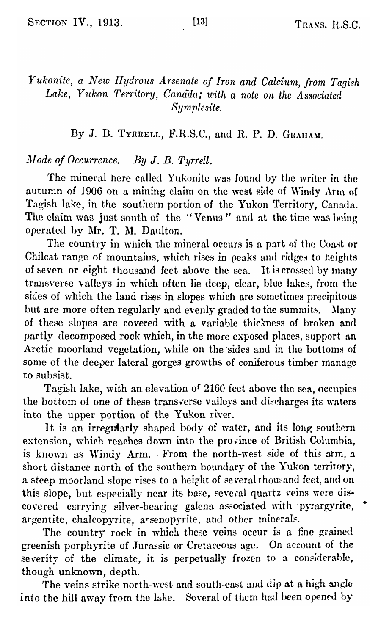# *Yukonite, a New Hydrous Arsenate of Iron and Calcium, from Tagish Lake, Yukon Territory, Canada; with a note on the Associated Symplesite.*

By J. B. TYRRELL, F.R.S.C., and R. P. D. GRAHAM.

### *Mode of Occurrence. By* J. *B. Tyrrell.*

The mineral here called Yukonite was found by the writer in the autumn of 1906 on a mining claim on the west side of Windy Ann of Tagish lake, in the southern portion of the Yukon Territory, Canada, The claim was just south of the "Venus" and at the time was being operated by Mr. T. M. Daulton.

The country in which the mineral occurs is a part of the Coast or Chileat range of mountains, which rises in peaks and ridges to heights of seven or eight thousand feet above the sea. It is crossed by many transverse valleys in which often lie deep, clear, blue lakes, from the sides of which the land rises in slopes which are sometimes precipitous but are more often regularly and evenly graded to the summits. Many of these slopes are covered with a variable thickness of broken and partly decomposed rock Which, in the more exposed places, support an Arctic moorland vegetation, while on the 'sides and in the bottoms of some of the deeper lateral gorges growths of coniferous timber manage to subsist.

Tagish lake, with an elevation of 2160 feet above the sea, occupies the bottom of one of these transverse valleys and discharges its waters into the upper portion of the Yukon river.

It is an irregularly shaped body of water, and its long southern extension, which reaches down into the province of British Columbia, is known as Windy Arm. From the north-west side of this arm, a short distance north of the southern boundary of the Yukon territory, a steep moorland slope rises to a height of several thousand feet, and on this slope, but especially near its base, several quartz veins were discovered carrying silver-bearing galena associated with pyrargyrite, argentite, chaleopyrite, a"scnopyrite, and other minerals.

The country rock in which these veins occur is a fine grained greenish porphyrite of Jurassic or Cretaceous age. On account of the severity of the climate, it is perpetually frozen to a considerable, though unknown, depth.

The veins strike north-west and south-east and dip at a high angle into the hill away from the lake. Several of them had been opened by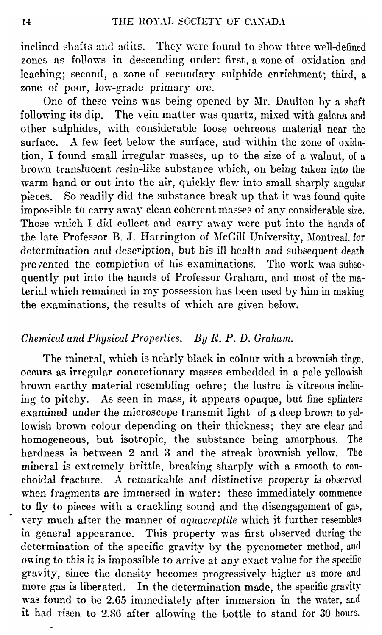inclined shafts and adits. They were found to show three well-defined zones as follows in descending order: first, a zone of oxidation and leaching; second, a zone of secondary sulphide enrichment; third, a zone of poor, low-grade primary ore.

One of these veins was being opened by Mr. Daulton by a shaft following its dip. The vein matter was quartz, mixed with galena and other sulphides, with considerable loose ochreous material near the surface. A few feet below the surface, and within the zone of oxidation, I found small irregular masses, up to the size of a walnut, of a brown translucent resin-like substance which, on being taken into the warm hand or out into the air, quickly flew into small sharply angular pieces. So readily did the substance break up that it was found quite impossible to carry away clean coherent masses of any considerable size. Those which I did collect and carry away were put into the hands of the late Professor B. J. Harrington of McGill University, Montreal, for determination and description, but his ill health and subsequent death prevented the completion of his examinations. The work was subsequently put into the hands of Professor Graham, and most of the material which remained in my possession has been used by him in making the examinations, the results of which are given below.

## *Chemical and Physical Properties. By R. P. D. Graham.*

The mineral, which is nearly black in colour with a brownish tinge, occurs as irregular concretionary masses embedded in a pale yellowish brown earthy material resembling ochre; the lustre is vitreous inclining to pitchy. As seen in mass, it appears opaque, but fine splinters examined under the microscope transmit light of a deep brown to yellowish brown colour depending on their thickness; they are clear and homogeneous, but isotropic, the substance being amorphous. The hardness is between 2 and 3 and the streak brownish yellow. The mineral is extremely brittle, breaking sharply with a smooth to conchoidal fracture. A remarkable and distinctive property is observed when fragments are immersed in water: these immediately commence to fly to pieces with a crackling sound and the disengagement of gas, very much after the manner of *aquacreptite* which it further resembles in general appearance. This property was first observed during the determination of the specific gravity by the pycnometer method, and owing to this it is impossible to arrive at any exact value for the specific gravity, since the density becomes progressively higher as more and more gas is liberated. In the determination made, the specific gravity was found to be 2.65 immediately after immersion in the water, and it had risen to 2.86 after allowing the bottle to stand for 30 hours.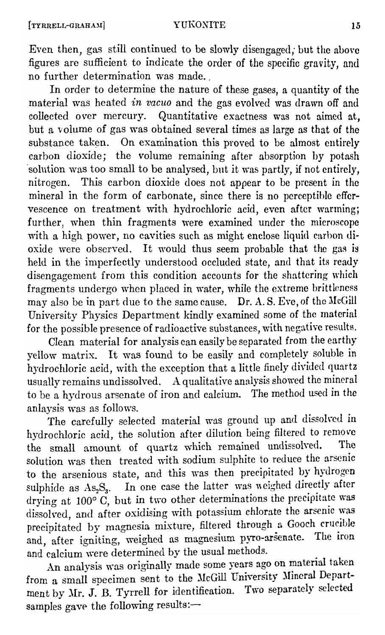Even then, gas still continued to be slowly disengaged; but the above figures are sufficient to indicate the order of the specific gravity, and no further determination was made. ,

In order to determine the nature of these gases, a quantity of the material was heated *in vacuo* and the gas evolved was drawn off and collected over mercury. Quantitative exactness was not aimed at, but a volume of gas was obtained several times as large as that of the substance taken. On examination this proved to be almost entirely carbon dioxide; the volume remaining after absorption by potash solution was too small to be analysed, but it was partly, if not entirely, nitrogen. This carbon dioxide does not appear to be present in the mineral in the form of carbonate, since there is no perceptible effervescence on treatment with hydrochloric acid, even after warming; further, when thin fragments were examined under the microscope with a high power, no cavities such as might enclose liquid carbon dioxide were observed. It would thus seem probable that the gas is held in the imperfectly understood occluded state, and that its ready disengagement from this condition accounts for the shattering which fragments undergo when placed in water, while the extreme brittleness  $m$ <sub>a</sub> also be in part due to the same cause. Dr. A. S. Eve, of the McGill University Physics Department kindly examined some of the material for the possible presence of radioactive substances, with negative results.

Clean material for analysis can easily be separated from the earthy yellow matrix. It was found to be easily and completely soluble in hydrochloric acid, with the exception that a little finely divided quartz usually remains undissolved. A qualitative analysis showed the mineral to be a hydrous arsenate of iron and calcium. The method used in the anlaysis was as follows.

The carefully selected material was ground up and dissolved in hydrochloric acid, the solution after dilution being filtered to remove the small amount of quartz which remained undissolved. solution was then treated with sodium sulphite to reduce the arsenic to the arsenious state, and this was then precipitated by hydrogen sulphide as As<sub>2</sub>S<sub>3</sub>. In one case the latter was weighed directly after drying at  $100^{\circ}$  C, but in two other determinations the precipitate was dissolved, and after oxidising with potassium chlorate the arsenic was precipitated by magnesia mixture, filtered through a Gooch crucible and, after igniting, weighed as magnesium pyro-arsenate. The iron and calcium were determined by the usual methods.

An analysis was originally made some years ago on material taken from a small specimen sent to the McGill University Mineral Department by Mr. J. B. Tyrrell for identification. Two separately selected samples gave the following results:-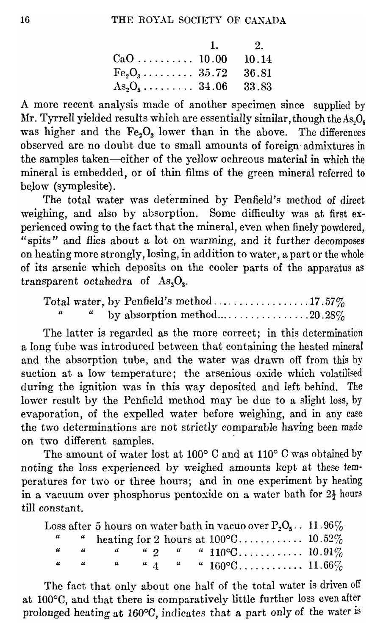|                              | 1. $2.$ |
|------------------------------|---------|
|                              |         |
| $Fe_2O_3$ 35.72 36.81        |         |
| $As_2O_5 \ldots$ 34.06 33.83 |         |

A more recent analysis made of another specimen since supplied by Mr. Tyrrell yielded results which are essentially similar, though the  $\mathrm{As}_2\mathrm{O}_\mathrm{s}$ was higher and the  $Fe<sub>2</sub>O<sub>3</sub>$  lower than in the above. The differences observed are no doubt due to small amounts of foreign admixtures in the samples taken---either of the yellow ochreous material in which the mineral is embedded, or of thin films of the green mineral referred to below (symplesite).

The total water was determined by Penfield's method of direct weighing, and also by absorption. Some difficulty Was at first experienced owing to the fact that the mineral, even when finely powdered, "spits" and flies about a lot on warming, and it further decomposes on heating more strongly, losing, in addition to water, a part or the whole of its arsenic which deposits on the cooler parts of the apparatus as transparent octahedra of  $\text{As}_2\text{O}_3$ .

|  | by absorption method20.28% |  |
|--|----------------------------|--|

The latter is regarded as the more correct; in this determination a long tube was introduced between that containing the heated mineral and the absorption tube, and the water was drawn off from this by suction at a low temperature; the arsenious oxide which volatilised during the ignition was in this way deposited and left behind. The lower result by the Penfield method may be due to a slight loss, by evaporation, of the expelled water before weighing, and in any case the two determinations are not strictly comparable having been made on two different samples.

The amount of water lost at 100° C and at 110° C was obtained by noting the loss experienced by weighed amounts kept at these temperatures for two or three hours; and in one experiment by heating in a vacuum over phosphorus pentoxide on a water bath for  $2\frac{1}{2}$  hours till constant.

|  |  |  | Loss after 5 hours on water bath in vacuo over $P_2O_5$ 11.96% |  |
|--|--|--|----------------------------------------------------------------|--|
|  |  |  |                                                                |  |
|  |  |  |                                                                |  |
|  |  |  |                                                                |  |

The fact that only about one half of the total water is driven off at 100°C, and that there is comparatively little further loss even after prolonged heating at 160°0, indicates that a part only of the water is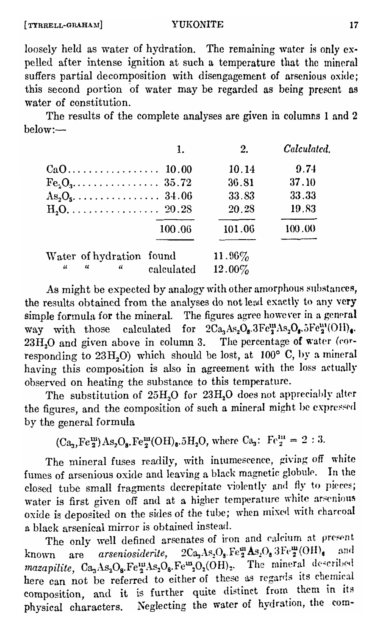#### **YUKONITE**

loosely held as water of hydration. The remaining water is only expelled after intense ignition at such a temperature that the mineral suffers partial decomposition with disengagement of arsenious oxide: this second portion of water may be regarded as being present as water of constitution

The results of the complete analyses are given in columns 1 and 2 helow:-

|                                | 1.         | 2.        | Calculated |
|--------------------------------|------------|-----------|------------|
|                                |            | 10.14     | 9.74       |
|                                |            | 36.81     | 37.10      |
|                                |            | 33.83     | 33.33      |
|                                |            | 20.28     | 19.83      |
|                                | 100.06     | 101.06    | 100.00     |
| Water of hydration found       |            | $11.96\%$ |            |
| $\frac{1}{2}$<br>$\alpha$<br>" | calculated | 12.00%    |            |

As might be expected by analogy with other amorphous substances, the results obtained from the analyses do not lead exactly to any very simple formula for the mineral. The figures agree however in a general way with those calculated for  $2Ca<sub>4</sub>As<sub>2</sub>O<sub>a</sub> 3Fe<sub>4</sub><sup>III</sup>As<sub>2</sub>O<sub>a</sub> 5Fe<sub>4</sub><sup>III</sup>(OH)<sub>4</sub>$ . 23H<sub>2</sub>O and given above in column 3. The percentage of water (corresponding to 23H, O) which should be lost, at  $100^{\circ}$  C, by a mineral having this composition is also in agreement with the loss actually observed on heating the substance to this temperature.

The substitution of 25H<sub>2</sub>O for 23H<sub>2</sub>O does not appreciably alter the figures, and the composition of such a mineral might be expressed by the general formula

 $(Ca_3, Fe_2^m) As_2O_8. Fe_2^m(OH)_6.5H_2O$ , where  $Ca_3$ :  $Fe_2^m = 2:3$ .

The mineral fuses readily, with intumescence, giving off white fumes of arsenious oxide and leaving a black magnetic globule. In the closed tube small fragments decrepitate violently and fly to pieces; water is first given off and at a higher temperature white arsenious oxide is deposited on the sides of the tube: when mixed with charcoal a black arsenical mirror is obtained instead.

The only well defined arsenates of iron and calcium at present are arseniosiderite,  $2Ca<sub>3</sub> As<sub>2</sub>O<sub>3</sub>. Fe<sup>m</sup><sub>2</sub> As<sub>2</sub>O<sub>3</sub> 3Fe<sup>m</sup><sub>2</sub>(OH)<sub>6</sub>$ and known mazapilite, Ca<sub>3</sub>As<sub>2</sub>O<sub>8</sub>.Fe<sup>111</sup>As<sub>2</sub>O<sub>8</sub>.Fe<sup>m</sup><sub>2</sub>O<sub>2</sub>(OH)<sub>2</sub>. The mineral described here can not be referred to either of these as regards its chemical composition, and it is further quite distinct from them in its physical characters. Neglecting the water of hydration, the com